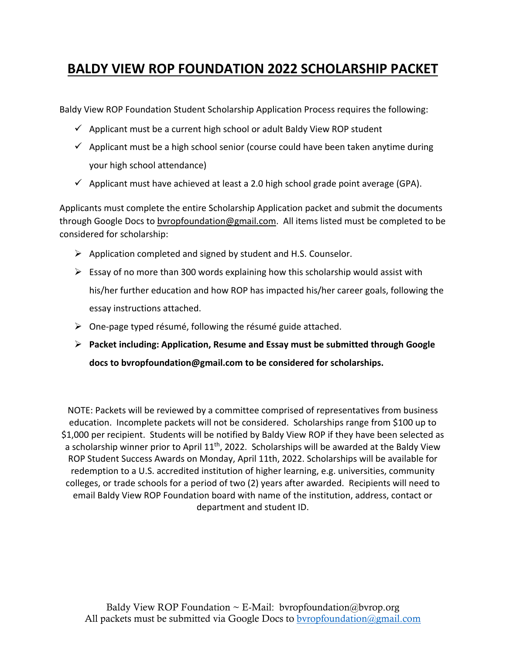## **BALDY VIEW ROP FOUNDATION 2022 SCHOLARSHIP PACKET**

Baldy View ROP Foundation Student Scholarship Application Process requires the following:

- $\checkmark$  Applicant must be a current high school or adult Baldy View ROP student
- $\checkmark$  Applicant must be a high school senior (course could have been taken anytime during your high school attendance)
- $\checkmark$  Applicant must have achieved at least a 2.0 high school grade point average (GPA).

Applicants must complete the entire Scholarship Application packet and submit the documents through Google Docs to [bvropfoundation@gmail.com.](mailto:bvropfoundation@gmail.com) All items listed must be completed to be considered for scholarship:

- $\triangleright$  Application completed and signed by student and H.S. Counselor.
- $\triangleright$  Essay of no more than 300 words explaining how this scholarship would assist with his/her further education and how ROP has impacted his/her career goals, following the essay instructions attached.
- $\triangleright$  One-page typed résumé, following the résumé guide attached.
- ➢ **Packet including: Application, Resume and Essay must be submitted through Google docs t[o bvropfoundation@gmail.com](mailto:bvropfoundation@gmail.com) to be considered for scholarships.**

NOTE: Packets will be reviewed by a committee comprised of representatives from business education. Incomplete packets will not be considered. Scholarships range from \$100 up to \$1,000 per recipient. Students will be notified by Baldy View ROP if they have been selected as a scholarship winner prior to April 11<sup>th</sup>, 2022. Scholarships will be awarded at the Baldy View ROP Student Success Awards on Monday, April 11th, 2022. Scholarships will be available for redemption to a U.S. accredited institution of higher learning, e.g. universities, community colleges, or trade schools for a period of two (2) years after awarded. Recipients will need to email Baldy View ROP Foundation board with name of the institution, address, contact or department and student ID.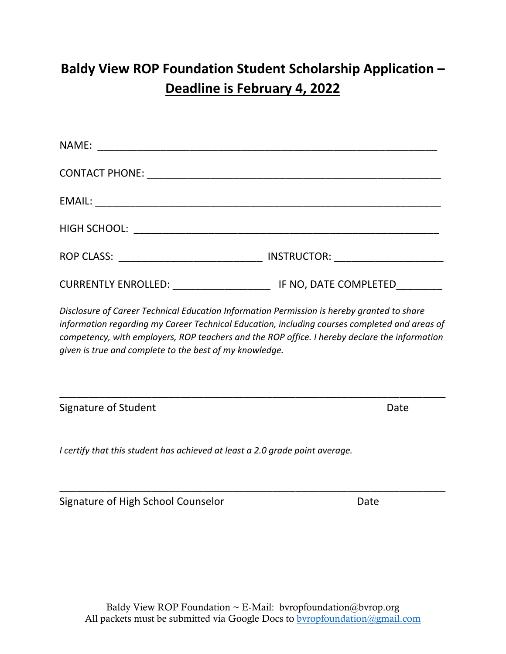# **Baldy View ROP Foundation Student Scholarship Application – Deadline is February 4, 2022**

| NAME:                      |                       |
|----------------------------|-----------------------|
|                            |                       |
|                            |                       |
|                            |                       |
|                            |                       |
| <b>CURRENTLY ENROLLED:</b> | IF NO, DATE COMPLETED |

*Disclosure of Career Technical Education Information Permission is hereby granted to share information regarding my Career Technical Education, including courses completed and areas of competency, with employers, ROP teachers and the ROP office. I hereby declare the information given is true and complete to the best of my knowledge.* 

Signature of Student **Date** 

*I certify that this student has achieved at least a 2.0 grade point average.* 

Signature of High School Counselor **Date** Date

\_\_\_\_\_\_\_\_\_\_\_\_\_\_\_\_\_\_\_\_\_\_\_\_\_\_\_\_\_\_\_\_\_\_\_\_\_\_\_\_\_\_\_\_\_\_\_\_\_\_\_\_\_\_\_\_\_\_\_\_\_\_\_\_\_\_\_

\_\_\_\_\_\_\_\_\_\_\_\_\_\_\_\_\_\_\_\_\_\_\_\_\_\_\_\_\_\_\_\_\_\_\_\_\_\_\_\_\_\_\_\_\_\_\_\_\_\_\_\_\_\_\_\_\_\_\_\_\_\_\_\_\_\_\_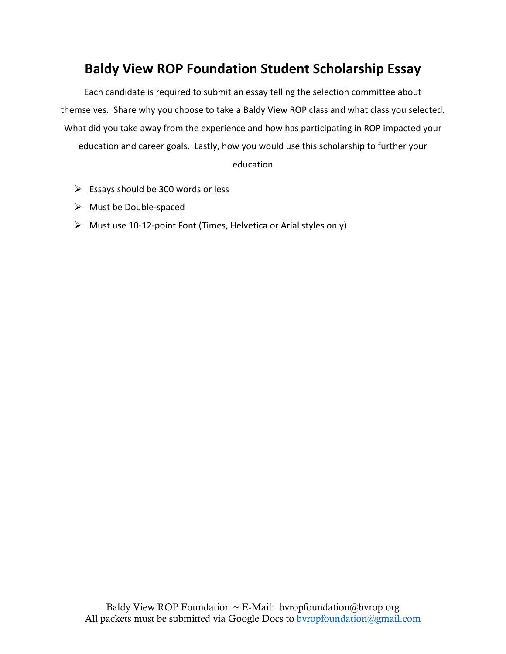## **Baldy View ROP Foundation Student Scholarship Essay**

Each candidate is required to submit an essay telling the selection committee about themselves. Share why you choose to take a Baldy View ROP class and what class you selected. What did you take away from the experience and how has participating in ROP impacted your education and career goals. Lastly, how you would use this scholarship to further your

#### education

- $\triangleright$  Essays should be 300 words or less
- ➢ Must be Double-spaced
- ➢ Must use 10-12-point Font (Times, Helvetica or Arial styles only)